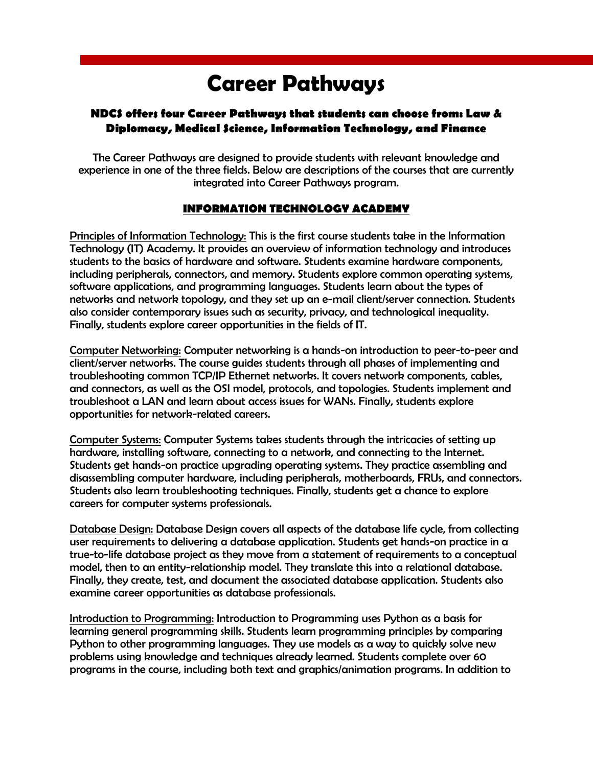# **Career Pathways**

# **NDCS offers four Career Pathways that students can choose from: Law & Diplomacy, Medical Science, Information Technology, and Finance**

The Career Pathways are designed to provide students with relevant knowledge and experience in one of the three fields. Below are descriptions of the courses that are currently integrated into Career Pathways program.

## **INFORMATION TECHNOLOGY ACADEMY**

Principles of Information Technology: This is the first course students take in the Information Technology (IT) Academy. It provides an overview of information technology and introduces students to the basics of hardware and software. Students examine hardware components, including peripherals, connectors, and memory. Students explore common operating systems, software applications, and programming languages. Students learn about the types of networks and network topology, and they set up an e-mail client/server connection. Students also consider contemporary issues such as security, privacy, and technological inequality. Finally, students explore career opportunities in the fields of IT.

Computer Networking: Computer networking is a hands-on introduction to peer-to-peer and client/server networks. The course guides students through all phases of implementing and troubleshooting common TCP/IP Ethernet networks. It covers network components, cables, and connectors, as well as the OSI model, protocols, and topologies. Students implement and troubleshoot a LAN and learn about access issues for WANs. Finally, students explore opportunities for network-related careers.

Computer Systems: Computer Systems takes students through the intricacies of setting up hardware, installing software, connecting to a network, and connecting to the Internet. Students get hands-on practice upgrading operating systems. They practice assembling and disassembling computer hardware, including peripherals, motherboards, FRUs, and connectors. Students also learn troubleshooting techniques. Finally, students get a chance to explore careers for computer systems professionals.

Database Design: Database Design covers all aspects of the database life cycle, from collecting user requirements to delivering a database application. Students get hands-on practice in a true-to-life database project as they move from a statement of requirements to a conceptual model, then to an entity-relationship model. They translate this into a relational database. Finally, they create, test, and document the associated database application. Students also examine career opportunities as database professionals.

Introduction to Programming: Introduction to Programming uses Python as a basis for learning general programming skills. Students learn programming principles by comparing Python to other programming languages. They use models as a way to quickly solve new problems using knowledge and techniques already learned. Students complete over 60 programs in the course, including both text and graphics/animation programs. In addition to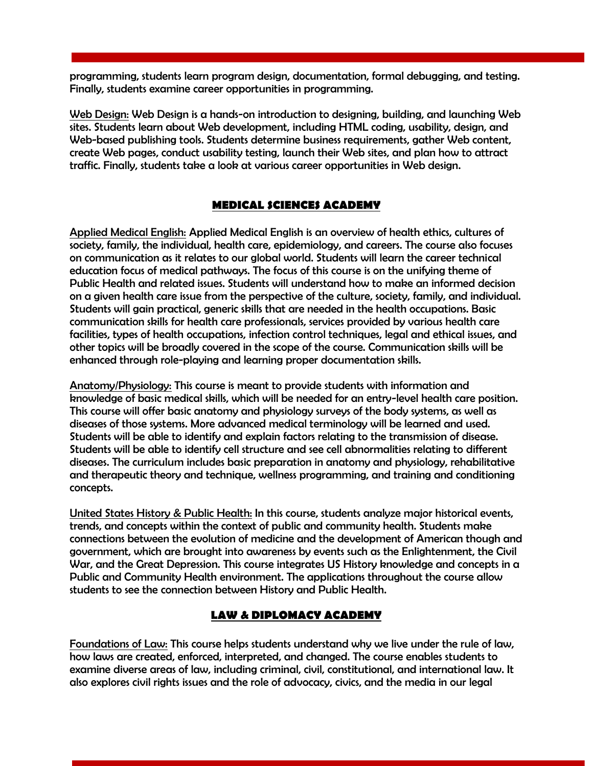programming, students learn program design, documentation, formal debugging, and testing. Finally, students examine career opportunities in programming.

Web Design: Web Design is a hands-on introduction to designing, building, and launching Web sites. Students learn about Web development, including HTML coding, usability, design, and Web-based publishing tools. Students determine business requirements, gather Web content, create Web pages, conduct usability testing, launch their Web sites, and plan how to attract traffic. Finally, students take a look at various career opportunities in Web design.

## **MEDICAL SCIENCES ACADEMY**

Applied Medical English: Applied Medical English is an overview of health ethics, cultures of society, family, the individual, health care, epidemiology, and careers. The course also focuses on communication as it relates to our global world. Students will learn the career technical education focus of medical pathways. The focus of this course is on the unifying theme of Public Health and related issues. Students will understand how to make an informed decision on a given health care issue from the perspective of the culture, society, family, and individual. Students will gain practical, generic skills that are needed in the health occupations. Basic communication skills for health care professionals, services provided by various health care facilities, types of health occupations, infection control techniques, legal and ethical issues, and other topics will be broadly covered in the scope of the course. Communication skills will be enhanced through role-playing and learning proper documentation skills.

Anatomy/Physiology: This course is meant to provide students with information and knowledge of basic medical skills, which will be needed for an entry-level health care position. This course will offer basic anatomy and physiology surveys of the body systems, as well as diseases of those systems. More advanced medical terminology will be learned and used. Students will be able to identify and explain factors relating to the transmission of disease. Students will be able to identify cell structure and see cell abnormalities relating to different diseases. The curriculum includes basic preparation in anatomy and physiology, rehabilitative and therapeutic theory and technique, wellness programming, and training and conditioning concepts.

United States History & Public Health: In this course, students analyze major historical events, trends, and concepts within the context of public and community health. Students make connections between the evolution of medicine and the development of American though and government, which are brought into awareness by events such as the Enlightenment, the Civil War, and the Great Depression. This course integrates US History knowledge and concepts in a Public and Community Health environment. The applications throughout the course allow students to see the connection between History and Public Health.

## **LAW & DIPLOMACY ACADEMY**

Foundations of Law: This course helps students understand why we live under the rule of law, how laws are created, enforced, interpreted, and changed. The course enables students to examine diverse areas of law, including criminal, civil, constitutional, and international law. It also explores civil rights issues and the role of advocacy, civics, and the media in our legal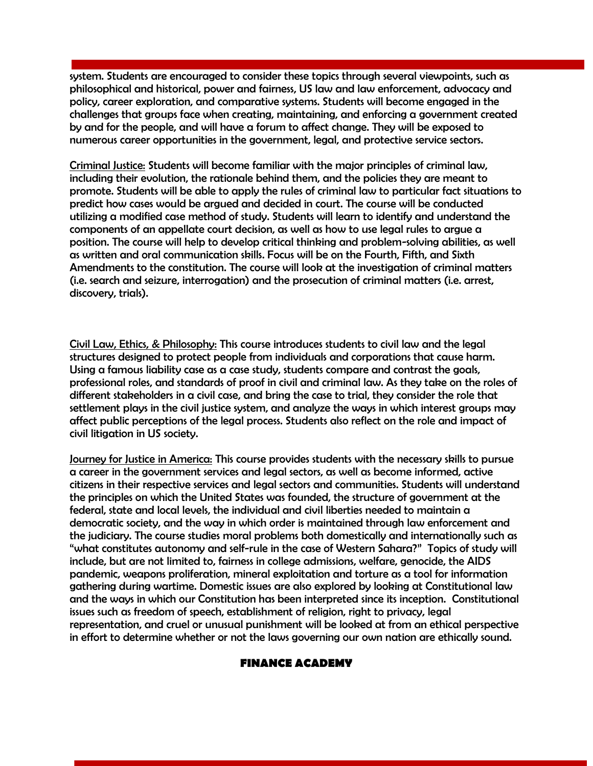system. Students are encouraged to consider these topics through several viewpoints, such as philosophical and historical, power and fairness, US law and law enforcement, advocacy and policy, career exploration, and comparative systems. Students will become engaged in the challenges that groups face when creating, maintaining, and enforcing a government created by and for the people, and will have a forum to affect change. They will be exposed to numerous career opportunities in the government, legal, and protective service sectors.

Criminal Justice: Students will become familiar with the major principles of criminal law, including their evolution, the rationale behind them, and the policies they are meant to promote. Students will be able to apply the rules of criminal law to particular fact situations to predict how cases would be argued and decided in court. The course will be conducted utilizing a modified case method of study. Students will learn to identify and understand the components of an appellate court decision, as well as how to use legal rules to argue a position. The course will help to develop critical thinking and problem-solving abilities, as well as written and oral communication skills. Focus will be on the Fourth, Fifth, and Sixth Amendments to the constitution. The course will look at the investigation of criminal matters (i.e. search and seizure, interrogation) and the prosecution of criminal matters (i.e. arrest, discovery, trials).

Civil Law, Ethics, & Philosophy: This course introduces students to civil law and the legal structures designed to protect people from individuals and corporations that cause harm. Using a famous liability case as a case study, students compare and contrast the goals, professional roles, and standards of proof in civil and criminal law. As they take on the roles of different stakeholders in a civil case, and bring the case to trial, they consider the role that settlement plays in the civil justice system, and analyze the ways in which interest groups may affect public perceptions of the legal process. Students also reflect on the role and impact of civil litigation in US society.

Journey for Justice in America: This course provides students with the necessary skills to pursue a career in the government services and legal sectors, as well as become informed, active citizens in their respective services and legal sectors and communities. Students will understand the principles on which the United States was founded, the structure of government at the federal, state and local levels, the individual and civil liberties needed to maintain a democratic society, and the way in which order is maintained through law enforcement and the judiciary. The course studies moral problems both domestically and internationally such as "what constitutes autonomy and self-rule in the case of Western Sahara?" Topics of study will include, but are not limited to, fairness in college admissions, welfare, genocide, the AIDS pandemic, weapons proliferation, mineral exploitation and torture as a tool for information gathering during wartime. Domestic issues are also explored by looking at Constitutional law and the ways in which our Constitution has been interpreted since its inception. Constitutional issues such as freedom of speech, establishment of religion, right to privacy, legal representation, and cruel or unusual punishment will be looked at from an ethical perspective in effort to determine whether or not the laws governing our own nation are ethically sound.

## **FINANCE ACADEMY**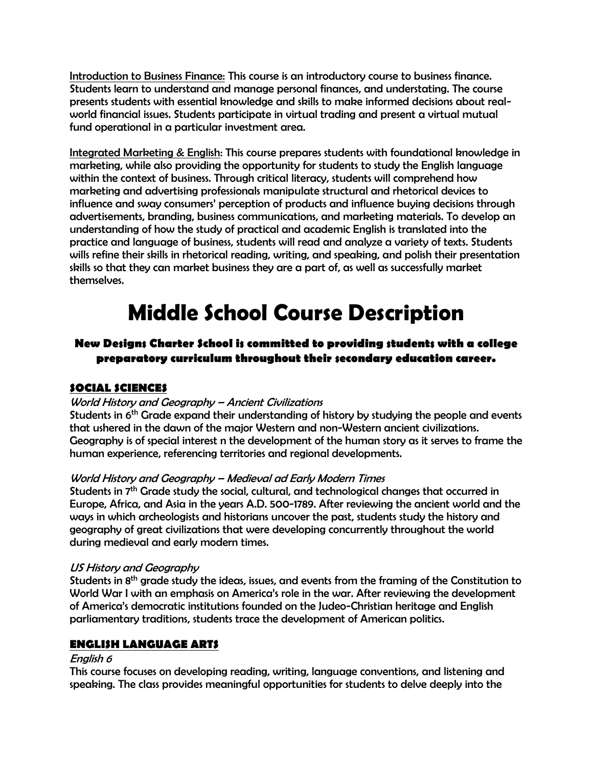Introduction to Business Finance: This course is an introductory course to business finance. Students learn to understand and manage personal finances, and understating. The course presents students with essential knowledge and skills to make informed decisions about realworld financial issues. Students participate in virtual trading and present a virtual mutual fund operational in a particular investment area.

Integrated Marketing & English: This course prepares students with foundational knowledge in marketing, while also providing the opportunity for students to study the English language within the context of business. Through critical literacy, students will comprehend how marketing and advertising professionals manipulate structural and rhetorical devices to influence and sway consumers' perception of products and influence buying decisions through advertisements, branding, business communications, and marketing materials. To develop an understanding of how the study of practical and academic English is translated into the practice and language of business, students will read and analyze a variety of texts. Students wills refine their skills in rhetorical reading, writing, and speaking, and polish their presentation skills so that they can market business they are a part of, as well as successfully market themselves.

# **Middle School Course Description**

# **New Designs Charter School is committed to providing students with a college preparatory curriculum throughout their secondary education career.**

# **SOCIAL SCIENCES**

## World History and Geography – Ancient Civilizations

Students in 6<sup>th</sup> Grade expand their understanding of history by studying the people and events that ushered in the dawn of the major Western and non-Western ancient civilizations. Geography is of special interest n the development of the human story as it serves to frame the human experience, referencing territories and regional developments.

## World History and Geography – Medieval ad Early Modern Times

Students in 7th Grade study the social, cultural, and technological changes that occurred in Europe, Africa, and Asia in the years A.D. 500-1789. After reviewing the ancient world and the ways in which archeologists and historians uncover the past, students study the history and geography of great civilizations that were developing concurrently throughout the world during medieval and early modern times.

## US History and Geography

Students in 8th grade study the ideas, issues, and events from the framing of the Constitution to World War I with an emphasis on America's role in the war. After reviewing the development of America's democratic institutions founded on the Judeo-Christian heritage and English parliamentary traditions, students trace the development of American politics.

## **ENGLISH LANGUAGE ARTS**

## English 6

This course focuses on developing reading, writing, language conventions, and listening and speaking. The class provides meaningful opportunities for students to delve deeply into the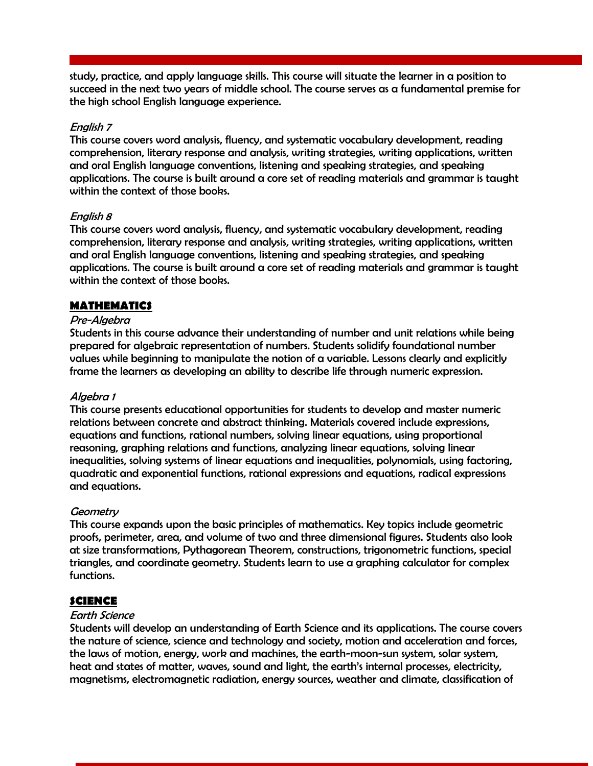study, practice, and apply language skills. This course will situate the learner in a position to succeed in the next two years of middle school. The course serves as a fundamental premise for the high school English language experience.

#### English 7

This course covers word analysis, fluency, and systematic vocabulary development, reading comprehension, literary response and analysis, writing strategies, writing applications, written and oral English language conventions, listening and speaking strategies, and speaking applications. The course is built around a core set of reading materials and grammar is taught within the context of those books.

#### English 8

This course covers word analysis, fluency, and systematic vocabulary development, reading comprehension, literary response and analysis, writing strategies, writing applications, written and oral English language conventions, listening and speaking strategies, and speaking applications. The course is built around a core set of reading materials and grammar is taught within the context of those books.

## **MATHEMATICS**

#### Pre-Algebra

Students in this course advance their understanding of number and unit relations while being prepared for algebraic representation of numbers. Students solidify foundational number values while beginning to manipulate the notion of a variable. Lessons clearly and explicitly frame the learners as developing an ability to describe life through numeric expression.

#### Algebra 1

This course presents educational opportunities for students to develop and master numeric relations between concrete and abstract thinking. Materials covered include expressions, equations and functions, rational numbers, solving linear equations, using proportional reasoning, graphing relations and functions, analyzing linear equations, solving linear inequalities, solving systems of linear equations and inequalities, polynomials, using factoring, quadratic and exponential functions, rational expressions and equations, radical expressions and equations.

#### **Geometry**

This course expands upon the basic principles of mathematics. Key topics include geometric proofs, perimeter, area, and volume of two and three dimensional figures. Students also look at size transformations, Pythagorean Theorem, constructions, trigonometric functions, special triangles, and coordinate geometry. Students learn to use a graphing calculator for complex functions.

#### **SCIENCE**

#### Earth Science

Students will develop an understanding of Earth Science and its applications. The course covers the nature of science, science and technology and society, motion and acceleration and forces, the laws of motion, energy, work and machines, the earth-moon-sun system, solar system, heat and states of matter, waves, sound and light, the earth's internal processes, electricity, magnetisms, electromagnetic radiation, energy sources, weather and climate, classification of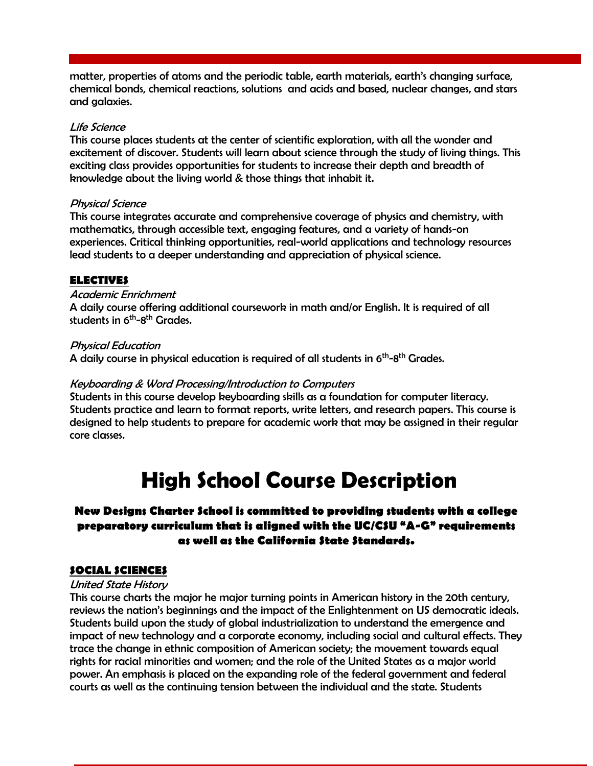matter, properties of atoms and the periodic table, earth materials, earth's changing surface, chemical bonds, chemical reactions, solutions and acids and based, nuclear changes, and stars and galaxies.

#### Life Science

This course places students at the center of scientific exploration, with all the wonder and excitement of discover. Students will learn about science through the study of living things. This exciting class provides opportunities for students to increase their depth and breadth of knowledge about the living world & those things that inhabit it.

#### Physical Science

This course integrates accurate and comprehensive coverage of physics and chemistry, with mathematics, through accessible text, engaging features, and a variety of hands-on experiences. Critical thinking opportunities, real-world applications and technology resources lead students to a deeper understanding and appreciation of physical science.

## **ELECTIVES**

## Academic Enrichment

A daily course offering additional coursework in math and/or English. It is required of all students in 6<sup>th</sup>-8<sup>th</sup> Grades.

#### Physical Education

A daily course in physical education is required of all students in  $6^{\sf th}\text{-}8^{\sf th}$  Grades.

#### Keyboarding & Word Processing/Introduction to Computers

Students in this course develop keyboarding skills as a foundation for computer literacy. Students practice and learn to format reports, write letters, and research papers. This course is designed to help students to prepare for academic work that may be assigned in their regular core classes.

# **High School Course Description**

# **New Designs Charter School is committed to providing students with a college preparatory curriculum that is aligned with the UC/CSU "A-G" requirements as well as the California State Standards.**

## **SOCIAL SCIENCES**

#### United State History

This course charts the major he major turning points in American history in the 20th century, reviews the nation's beginnings and the impact of the Enlightenment on US democratic ideals. Students build upon the study of global industrialization to understand the emergence and impact of new technology and a corporate economy, including social and cultural effects. They trace the change in ethnic composition of American society; the movement towards equal rights for racial minorities and women; and the role of the United States as a major world power. An emphasis is placed on the expanding role of the federal government and federal courts as well as the continuing tension between the individual and the state. Students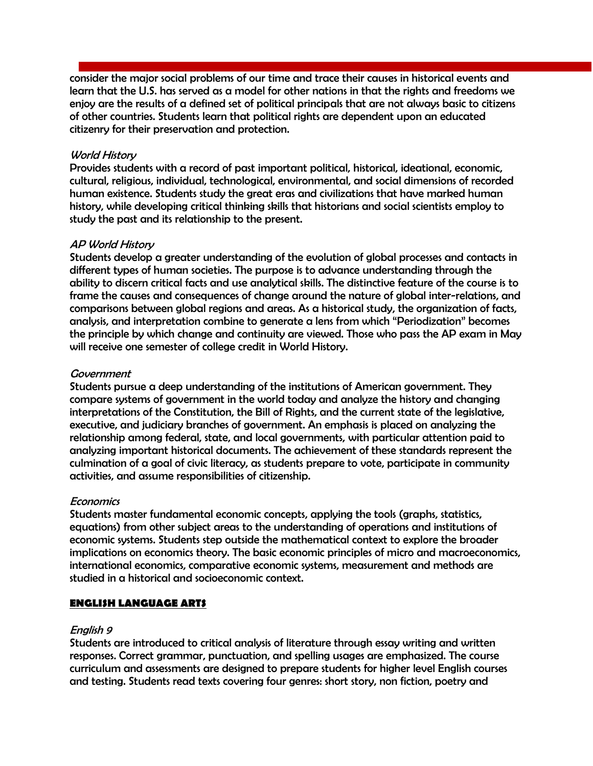consider the major social problems of our time and trace their causes in historical events and learn that the U.S. has served as a model for other nations in that the rights and freedoms we enjoy are the results of a defined set of political principals that are not always basic to citizens of other countries. Students learn that political rights are dependent upon an educated citizenry for their preservation and protection.

#### World History

Provides students with a record of past important political, historical, ideational, economic, cultural, religious, individual, technological, environmental, and social dimensions of recorded human existence. Students study the great eras and civilizations that have marked human history, while developing critical thinking skills that historians and social scientists employ to study the past and its relationship to the present.

#### AP World History

Students develop a greater understanding of the evolution of global processes and contacts in different types of human societies. The purpose is to advance understanding through the ability to discern critical facts and use analytical skills. The distinctive feature of the course is to frame the causes and consequences of change around the nature of global inter-relations, and comparisons between global regions and areas. As a historical study, the organization of facts, analysis, and interpretation combine to generate a lens from which "Periodization" becomes the principle by which change and continuity are viewed. Those who pass the AP exam in May will receive one semester of college credit in World History.

#### **Government**

Students pursue a deep understanding of the institutions of American government. They compare systems of government in the world today and analyze the history and changing interpretations of the Constitution, the Bill of Rights, and the current state of the legislative, executive, and judiciary branches of government. An emphasis is placed on analyzing the relationship among federal, state, and local governments, with particular attention paid to analyzing important historical documents. The achievement of these standards represent the culmination of a goal of civic literacy, as students prepare to vote, participate in community activities, and assume responsibilities of citizenship.

#### **Economics**

Students master fundamental economic concepts, applying the tools (graphs, statistics, equations) from other subject areas to the understanding of operations and institutions of economic systems. Students step outside the mathematical context to explore the broader implications on economics theory. The basic economic principles of micro and macroeconomics, international economics, comparative economic systems, measurement and methods are studied in a historical and socioeconomic context.

## **ENGLISH LANGUAGE ARTS**

#### English 9

Students are introduced to critical analysis of literature through essay writing and written responses. Correct grammar, punctuation, and spelling usages are emphasized. The course curriculum and assessments are designed to prepare students for higher level English courses and testing. Students read texts covering four genres: short story, non fiction, poetry and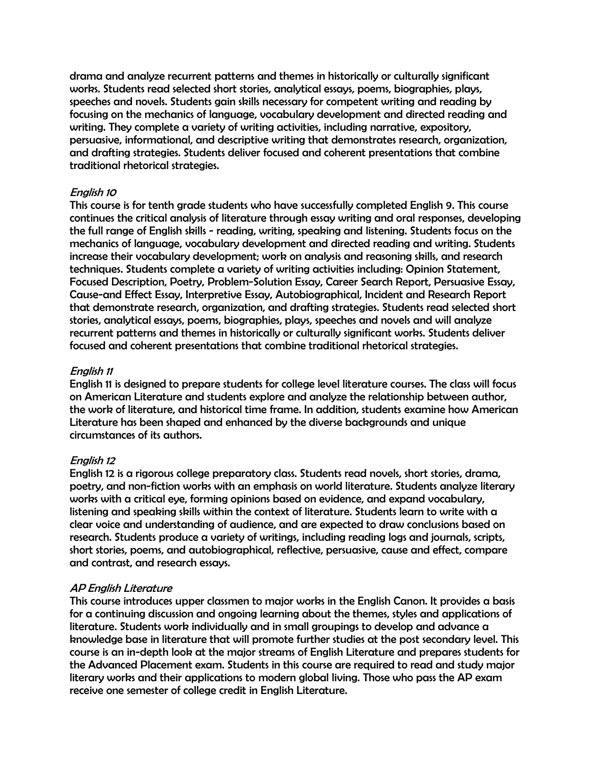drama and analyze recurrent patterns and themes in historically or culturally significant works. Students read selected short stories, analytical essays, poems, biographies, plays, speeches and novels. Students gain skills necessary for competent writing and reading by focusing on the mechanics of language, vocabulary development and directed reading and writing. They complete a variety of writing activities, including narrative, expository, persuasive, informational, and descriptive writing that demonstrates research, organization, and drafting strategies. Students deliver focused and coherent presentations that combine traditional rhetorical strategies.

#### English 10

This course is for tenth grade students who have successfully completed English 9. This course continues the critical analysis of literature through essay writing and oral responses, developing the full range of English skills - reading, writing, speaking and listening. Students focus on the mechanics of language, vocabulary development and directed reading and writing. Students increase their vocabulary development; work on analysis and reasoning skills, and research techniques. Students complete a variety of writing activities including: Opinion Statement, Focused Description, Poetry, Problem-Solution Essay, Career Search Report, Persuasive Essay, Cause-and Effect Essay, Interpretive Essay, Autobiographical, Incident and Research Report that demonstrate research, organization, and drafting strategies. Students read selected short stories, analytical essays, poems, biographies, plays, speeches and novels and will analyze recurrent patterns and themes in historically or culturally significant works. Students deliver focused and coherent presentations that combine traditional rhetorical strategies.

#### English 11

English 11 is designed to prepare students for college level literature courses. The class will focus on American Literature and students explore and analyze the relationship between author, the work of literature, and historical time frame. In addition, students examine how American Literature has been shaped and enhanced by the diverse backgrounds and unique circumstances of its authors.

## English 12

English 12 is a rigorous college preparatory class. Students read novels, short stories, drama, poetry, and non-fiction works with an emphasis on world literature. Students analyze literary works with a critical eye, forming opinions based on evidence, and expand vocabulary, listening and speaking skills within the context of literature. Students learn to write with a clear voice and understanding of audience, and are expected to draw conclusions based on research. Students produce a variety of writings, including reading logs and journals, scripts, short stories, poems, and autobiographical, reflective, persuasive, cause and effect, compare and contrast, and research essays.

## AP English Literature

This course introduces upper classmen to major works in the English Canon. It provides a basis for a continuing discussion and ongoing learning about the themes, styles and applications of literature. Students work individually and in small groupings to develop and advance a knowledge base in literature that will promote further studies at the post secondary level. This course is an in-depth look at the major streams of English Literature and prepares students for the Advanced Placement exam. Students in this course are required to read and study major literary works and their applications to modern global living. Those who pass the AP exam receive one semester of college credit in English Literature.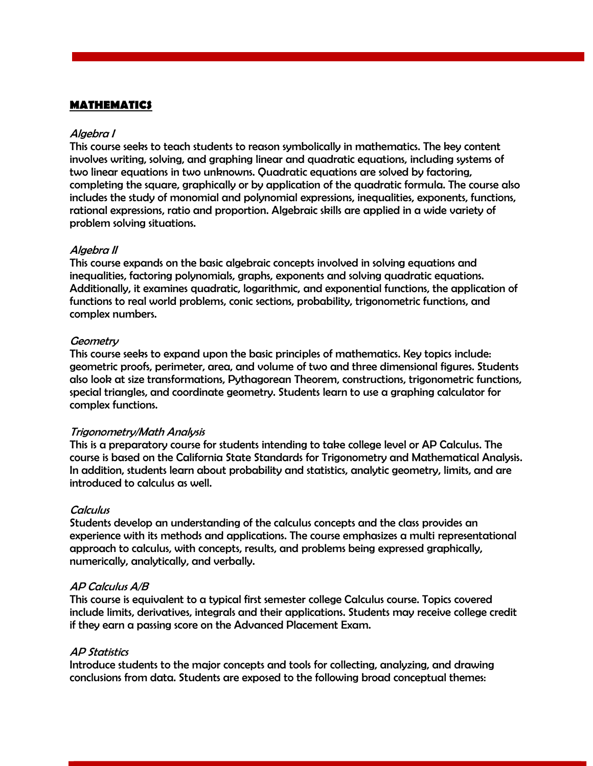#### **MATHEMATICS**

#### Algebra I

This course seeks to teach students to reason symbolically in mathematics. The key content involves writing, solving, and graphing linear and quadratic equations, including systems of two linear equations in two unknowns. Quadratic equations are solved by factoring, completing the square, graphically or by application of the quadratic formula. The course also includes the study of monomial and polynomial expressions, inequalities, exponents, functions, rational expressions, ratio and proportion. Algebraic skills are applied in a wide variety of problem solving situations.

#### Algebra II

This course expands on the basic algebraic concepts involved in solving equations and inequalities, factoring polynomials, graphs, exponents and solving quadratic equations. Additionally, it examines quadratic, logarithmic, and exponential functions, the application of functions to real world problems, conic sections, probability, trigonometric functions, and complex numbers.

#### **Geometry**

This course seeks to expand upon the basic principles of mathematics. Key topics include: geometric proofs, perimeter, area, and volume of two and three dimensional figures. Students also look at size transformations, Pythagorean Theorem, constructions, trigonometric functions, special triangles, and coordinate geometry. Students learn to use a graphing calculator for complex functions.

#### Trigonometry/Math Analysis

This is a preparatory course for students intending to take college level or AP Calculus. The course is based on the California State Standards for Trigonometry and Mathematical Analysis. In addition, students learn about probability and statistics, analytic geometry, limits, and are introduced to calculus as well.

#### **Calculus**

Students develop an understanding of the calculus concepts and the class provides an experience with its methods and applications. The course emphasizes a multi representational approach to calculus, with concepts, results, and problems being expressed graphically, numerically, analytically, and verbally.

#### AP Calculus A/B

This course is equivalent to a typical first semester college Calculus course. Topics covered include limits, derivatives, integrals and their applications. Students may receive college credit if they earn a passing score on the Advanced Placement Exam.

#### AP Statistics

Introduce students to the major concepts and tools for collecting, analyzing, and drawing conclusions from data. Students are exposed to the following broad conceptual themes: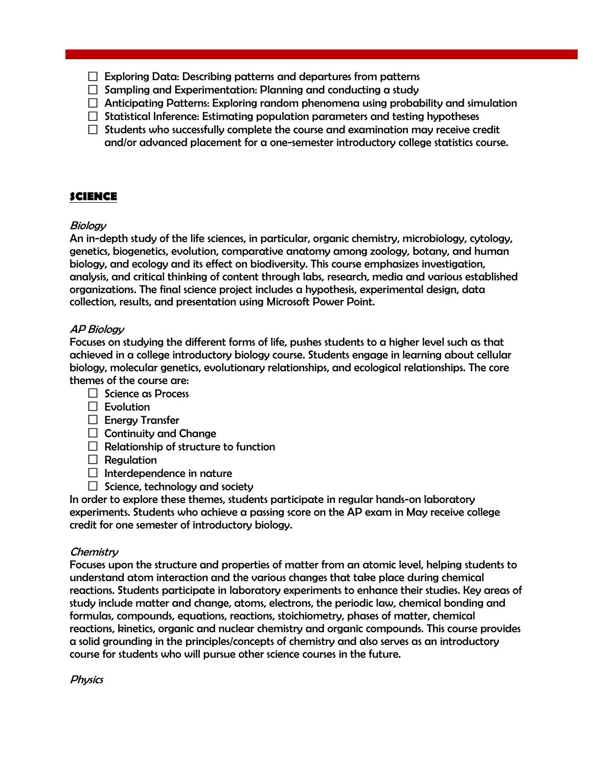- $\Box$  Exploring Data: Describing patterns and departures from patterns
- $\Box$  Sampling and Experimentation: Planning and conducting a study
- $\Box$  Anticipating Patterns: Exploring random phenomena using probability and simulation
- $\Box$  Statistical Inference: Estimating population parameters and testing hypotheses
- $\Box$  Students who successfully complete the course and examination may receive credit and/or advanced placement for a one-semester introductory college statistics course.

## **SCIENCE**

## **Biology**

An in-depth study of the life sciences, in particular, organic chemistry, microbiology, cytology, genetics, biogenetics, evolution, comparative anatomy among zoology, botany, and human biology, and ecology and its effect on biodiversity. This course emphasizes investigation, analysis, and critical thinking of content through labs, research, media and various established organizations. The final science project includes a hypothesis, experimental design, data collection, results, and presentation using Microsoft Power Point.

## AP Biology

Focuses on studying the different forms of life, pushes students to a higher level such as that achieved in a college introductory biology course. Students engage in learning about cellular biology, molecular genetics, evolutionary relationships, and ecological relationships. The core themes of the course are:

- $\Box$  Science as Process
- $\Box$  Evolution
- $\Box$  Energy Transfer
- $\Box$  Continuity and Change
- $\Box$  Relationship of structure to function
- $\Box$  Regulation
- $\Box$  Interdependence in nature
- $\Box$  Science, technology and society

In order to explore these themes, students participate in regular hands-on laboratory experiments. Students who achieve a passing score on the AP exam in May receive college credit for one semester of introductory biology.

## **Chemistry**

Focuses upon the structure and properties of matter from an atomic level, helping students to understand atom interaction and the various changes that take place during chemical reactions. Students participate in laboratory experiments to enhance their studies. Key areas of study include matter and change, atoms, electrons, the periodic law, chemical bonding and formulas, compounds, equations, reactions, stoichiometry, phases of matter, chemical reactions, kinetics, organic and nuclear chemistry and organic compounds. This course provides a solid grounding in the principles/concepts of chemistry and also serves as an introductory course for students who will pursue other science courses in the future.

**Physics**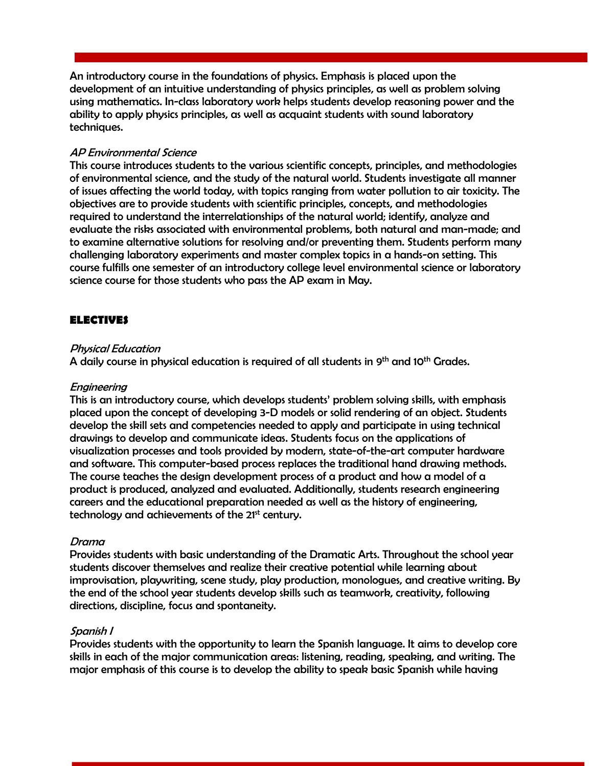An introductory course in the foundations of physics. Emphasis is placed upon the development of an intuitive understanding of physics principles, as well as problem solving using mathematics. In-class laboratory work helps students develop reasoning power and the ability to apply physics principles, as well as acquaint students with sound laboratory techniques.

#### AP Environmental Science

This course introduces students to the various scientific concepts, principles, and methodologies of environmental science, and the study of the natural world. Students investigate all manner of issues affecting the world today, with topics ranging from water pollution to air toxicity. The objectives are to provide students with scientific principles, concepts, and methodologies required to understand the interrelationships of the natural world; identify, analyze and evaluate the risks associated with environmental problems, both natural and man-made; and to examine alternative solutions for resolving and/or preventing them. Students perform many challenging laboratory experiments and master complex topics in a hands-on setting. This course fulfills one semester of an introductory college level environmental science or laboratory science course for those students who pass the AP exam in May.

## **ELECTIVES**

#### Physical Education

A daily course in physical education is required of all students in 9 $^{\rm th}$  and 10 $^{\rm th}$  Grades.

#### Engineering

This is an introductory course, which develops students' problem solving skills, with emphasis placed upon the concept of developing 3-D models or solid rendering of an object. Students develop the skill sets and competencies needed to apply and participate in using technical drawings to develop and communicate ideas. Students focus on the applications of visualization processes and tools provided by modern, state-of-the-art computer hardware and software. This computer-based process replaces the traditional hand drawing methods. The course teaches the design development process of a product and how a model of a product is produced, analyzed and evaluated. Additionally, students research engineering careers and the educational preparation needed as well as the history of engineering, technology and achievements of the 21<sup>st</sup> century.

#### Drama

Provides students with basic understanding of the Dramatic Arts. Throughout the school year students discover themselves and realize their creative potential while learning about improvisation, playwriting, scene study, play production, monologues, and creative writing. By the end of the school year students develop skills such as teamwork, creativity, following directions, discipline, focus and spontaneity.

#### Spanish I

Provides students with the opportunity to learn the Spanish language. It aims to develop core skills in each of the major communication areas: listening, reading, speaking, and writing. The major emphasis of this course is to develop the ability to speak basic Spanish while having